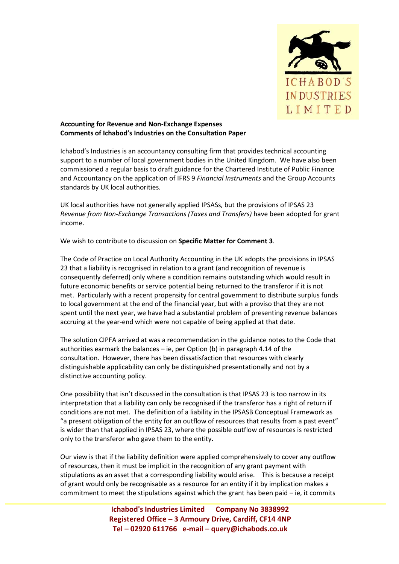

## **Accounting for Revenue and Non-Exchange Expenses Comments of Ichabod's Industries on the Consultation Paper**

Ichabod's Industries is an accountancy consulting firm that provides technical accounting support to a number of local government bodies in the United Kingdom. We have also been commissioned a regular basis to draft guidance for the Chartered Institute of Public Finance and Accountancy on the application of IFRS 9 *Financial Instruments* and the Group Accounts standards by UK local authorities.

UK local authorities have not generally applied IPSASs, but the provisions of IPSAS 23 *Revenue from Non-Exchange Transactions (Taxes and Transfers)* have been adopted for grant income.

We wish to contribute to discussion on **Specific Matter for Comment 3**.

The Code of Practice on Local Authority Accounting in the UK adopts the provisions in IPSAS 23 that a liability is recognised in relation to a grant (and recognition of revenue is consequently deferred) only where a condition remains outstanding which would result in future economic benefits or service potential being returned to the transferor if it is not met. Particularly with a recent propensity for central government to distribute surplus funds to local government at the end of the financial year, but with a proviso that they are not spent until the next year, we have had a substantial problem of presenting revenue balances accruing at the year-end which were not capable of being applied at that date.

The solution CIPFA arrived at was a recommendation in the guidance notes to the Code that authorities earmark the balances – ie, per Option (b) in paragraph 4.14 of the consultation. However, there has been dissatisfaction that resources with clearly distinguishable applicability can only be distinguished presentationally and not by a distinctive accounting policy.

One possibility that isn't discussed in the consultation is that IPSAS 23 is too narrow in its interpretation that a liability can only be recognised if the transferor has a right of return if conditions are not met. The definition of a liability in the IPSASB Conceptual Framework as "a present obligation of the entity for an outflow of resources that results from a past event" is wider than that applied in IPSAS 23, where the possible outflow of resources is restricted only to the transferor who gave them to the entity.

Our view is that if the liability definition were applied comprehensively to cover any outflow of resources, then it must be implicit in the recognition of any grant payment with stipulations as an asset that a corresponding liability would arise. This is because a receipt of grant would only be recognisable as a resource for an entity if it by implication makes a commitment to meet the stipulations against which the grant has been paid – ie, it commits

> **Ichabod's Industries Limited Company No 3838992 Registered Office – 3 Armoury Drive, Cardiff, CF14 4NP Tel – 02920 611766 e-mail – query@ichabods.co.uk**